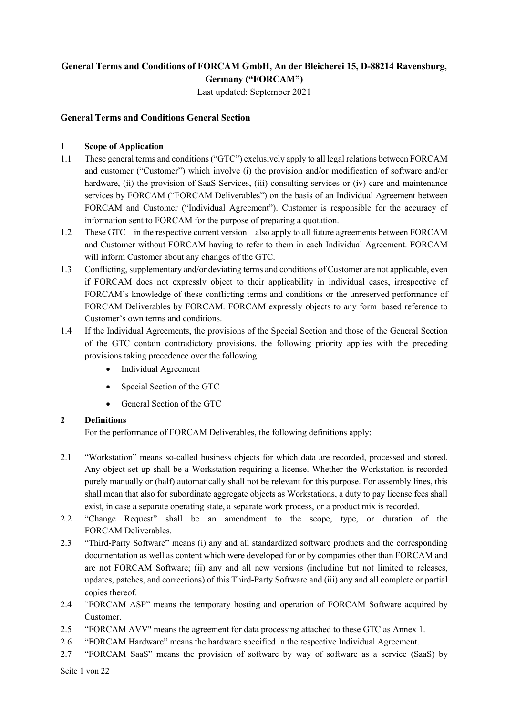# **General Terms and Conditions of FORCAM GmbH, An der Bleicherei 15, D-88214 Ravensburg, Germany ("FORCAM")**

Last updated: September 2021

## **General Terms and Conditions General Section**

### **1 Scope of Application**

- 1.1 These general terms and conditions ("GTC") exclusively apply to all legal relations between FORCAM and customer ("Customer") which involve (i) the provision and/or modification of software and/or hardware, (ii) the provision of SaaS Services, (iii) consulting services or (iv) care and maintenance services by FORCAM ("FORCAM Deliverables") on the basis of an Individual Agreement between FORCAM and Customer ("Individual Agreement"). Customer is responsible for the accuracy of information sent to FORCAM for the purpose of preparing a quotation.
- 1.2 These GTC in the respective current version also apply to all future agreements between FORCAM and Customer without FORCAM having to refer to them in each Individual Agreement. FORCAM will inform Customer about any changes of the GTC.
- 1.3 Conflicting, supplementary and/or deviating terms and conditions of Customer are not applicable, even if FORCAM does not expressly object to their applicability in individual cases, irrespective of FORCAM's knowledge of these conflicting terms and conditions or the unreserved performance of FORCAM Deliverables by FORCAM. FORCAM expressly objects to any form–based reference to Customer's own terms and conditions.
- 1.4 If the Individual Agreements, the provisions of the Special Section and those of the General Section of the GTC contain contradictory provisions, the following priority applies with the preceding provisions taking precedence over the following:
	- Individual Agreement
	- Special Section of the GTC
	- General Section of the GTC

### **2 Definitions**

For the performance of FORCAM Deliverables, the following definitions apply:

- 2.1 "Workstation" means so-called business objects for which data are recorded, processed and stored. Any object set up shall be a Workstation requiring a license. Whether the Workstation is recorded purely manually or (half) automatically shall not be relevant for this purpose. For assembly lines, this shall mean that also for subordinate aggregate objects as Workstations, a duty to pay license fees shall exist, in case a separate operating state, a separate work process, or a product mix is recorded.
- 2.2 "Change Request" shall be an amendment to the scope, type, or duration of the FORCAM Deliverables.
- 2.3 "Third-Party Software" means (i) any and all standardized software products and the corresponding documentation as well as content which were developed for or by companies other than FORCAM and are not FORCAM Software; (ii) any and all new versions (including but not limited to releases, updates, patches, and corrections) of this Third-Party Software and (iii) any and all complete or partial copies thereof.
- 2.4 "FORCAM ASP" means the temporary hosting and operation of FORCAM Software acquired by Customer.
- 2.5 "FORCAM AVV" means the agreement for data processing attached to these GTC as Annex 1.
- 2.6 "FORCAM Hardware" means the hardware specified in the respective Individual Agreement.
- 2.7 "FORCAM SaaS" means the provision of software by way of software as a service (SaaS) by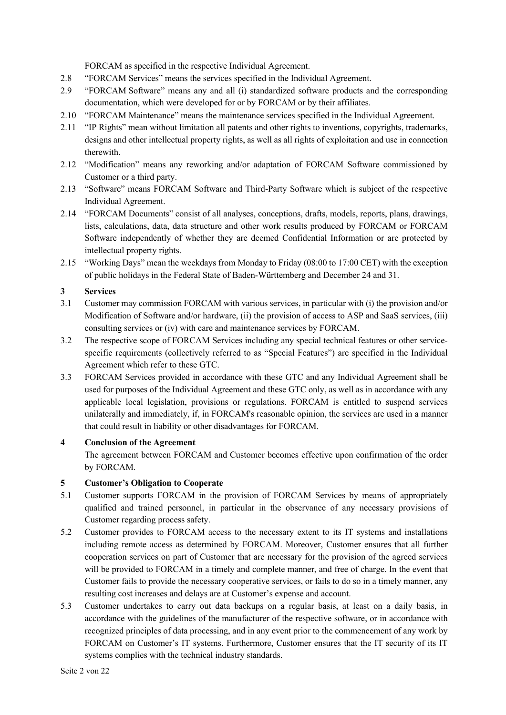FORCAM as specified in the respective Individual Agreement.

- 2.8 "FORCAM Services" means the services specified in the Individual Agreement.
- 2.9 "FORCAM Software" means any and all (i) standardized software products and the corresponding documentation, which were developed for or by FORCAM or by their affiliates.
- 2.10 "FORCAM Maintenance" means the maintenance services specified in the Individual Agreement.
- 2.11 "IP Rights" mean without limitation all patents and other rights to inventions, copyrights, trademarks, designs and other intellectual property rights, as well as all rights of exploitation and use in connection therewith.
- 2.12 "Modification" means any reworking and/or adaptation of FORCAM Software commissioned by Customer or a third party.
- 2.13 "Software" means FORCAM Software and Third-Party Software which is subject of the respective Individual Agreement.
- 2.14 "FORCAM Documents" consist of all analyses, conceptions, drafts, models, reports, plans, drawings, lists, calculations, data, data structure and other work results produced by FORCAM or FORCAM Software independently of whether they are deemed Confidential Information or are protected by intellectual property rights.
- 2.15 "Working Days" mean the weekdays from Monday to Friday (08:00 to 17:00 CET) with the exception of public holidays in the Federal State of Baden-Württemberg and December 24 and 31.

## **3 Services**

- 3.1 Customer may commission FORCAM with various services, in particular with (i) the provision and/or Modification of Software and/or hardware, (ii) the provision of access to ASP and SaaS services, (iii) consulting services or (iv) with care and maintenance services by FORCAM.
- 3.2 The respective scope of FORCAM Services including any special technical features or other servicespecific requirements (collectively referred to as "Special Features") are specified in the Individual Agreement which refer to these GTC.
- 3.3 FORCAM Services provided in accordance with these GTC and any Individual Agreement shall be used for purposes of the Individual Agreement and these GTC only, as well as in accordance with any applicable local legislation, provisions or regulations. FORCAM is entitled to suspend services unilaterally and immediately, if, in FORCAM's reasonable opinion, the services are used in a manner that could result in liability or other disadvantages for FORCAM.

### **4 Conclusion of the Agreement**

The agreement between FORCAM and Customer becomes effective upon confirmation of the order by FORCAM.

# **5 Customer's Obligation to Cooperate**

- 5.1 Customer supports FORCAM in the provision of FORCAM Services by means of appropriately qualified and trained personnel, in particular in the observance of any necessary provisions of Customer regarding process safety.
- 5.2 Customer provides to FORCAM access to the necessary extent to its IT systems and installations including remote access as determined by FORCAM. Moreover, Customer ensures that all further cooperation services on part of Customer that are necessary for the provision of the agreed services will be provided to FORCAM in a timely and complete manner, and free of charge. In the event that Customer fails to provide the necessary cooperative services, or fails to do so in a timely manner, any resulting cost increases and delays are at Customer's expense and account.
- 5.3 Customer undertakes to carry out data backups on a regular basis, at least on a daily basis, in accordance with the guidelines of the manufacturer of the respective software, or in accordance with recognized principles of data processing, and in any event prior to the commencement of any work by FORCAM on Customer's IT systems. Furthermore, Customer ensures that the IT security of its IT systems complies with the technical industry standards.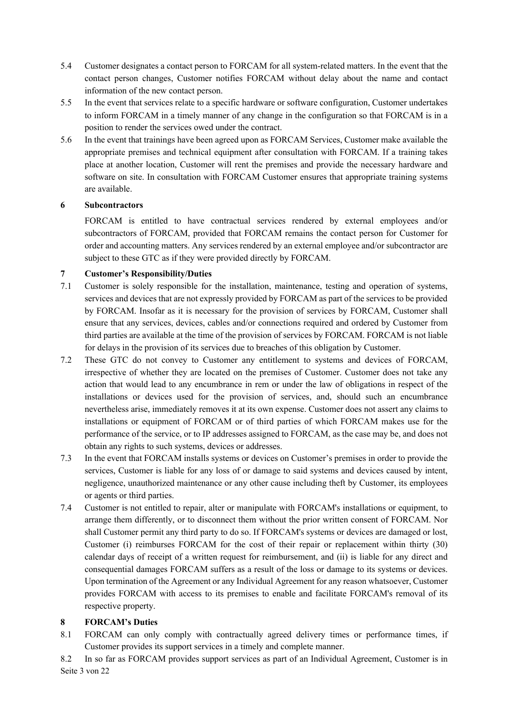- 5.4 Customer designates a contact person to FORCAM for all system-related matters. In the event that the contact person changes, Customer notifies FORCAM without delay about the name and contact information of the new contact person.
- 5.5 In the event that services relate to a specific hardware or software configuration, Customer undertakes to inform FORCAM in a timely manner of any change in the configuration so that FORCAM is in a position to render the services owed under the contract.
- 5.6 In the event that trainings have been agreed upon as FORCAM Services, Customer make available the appropriate premises and technical equipment after consultation with FORCAM. If a training takes place at another location, Customer will rent the premises and provide the necessary hardware and software on site. In consultation with FORCAM Customer ensures that appropriate training systems are available.

## **6 Subcontractors**

FORCAM is entitled to have contractual services rendered by external employees and/or subcontractors of FORCAM, provided that FORCAM remains the contact person for Customer for order and accounting matters. Any services rendered by an external employee and/or subcontractor are subject to these GTC as if they were provided directly by FORCAM.

## **7 Customer's Responsibility/Duties**

- 7.1 Customer is solely responsible for the installation, maintenance, testing and operation of systems, services and devices that are not expressly provided by FORCAM as part of the services to be provided by FORCAM. Insofar as it is necessary for the provision of services by FORCAM, Customer shall ensure that any services, devices, cables and/or connections required and ordered by Customer from third parties are available at the time of the provision of services by FORCAM. FORCAM is not liable for delays in the provision of its services due to breaches of this obligation by Customer.
- 7.2 These GTC do not convey to Customer any entitlement to systems and devices of FORCAM, irrespective of whether they are located on the premises of Customer. Customer does not take any action that would lead to any encumbrance in rem or under the law of obligations in respect of the installations or devices used for the provision of services, and, should such an encumbrance nevertheless arise, immediately removes it at its own expense. Customer does not assert any claims to installations or equipment of FORCAM or of third parties of which FORCAM makes use for the performance of the service, or to IP addresses assigned to FORCAM, as the case may be, and does not obtain any rights to such systems, devices or addresses.
- 7.3 In the event that FORCAM installs systems or devices on Customer's premises in order to provide the services, Customer is liable for any loss of or damage to said systems and devices caused by intent, negligence, unauthorized maintenance or any other cause including theft by Customer, its employees or agents or third parties.
- 7.4 Customer is not entitled to repair, alter or manipulate with FORCAM's installations or equipment, to arrange them differently, or to disconnect them without the prior written consent of FORCAM. Nor shall Customer permit any third party to do so. If FORCAM's systems or devices are damaged or lost, Customer (i) reimburses FORCAM for the cost of their repair or replacement within thirty (30) calendar days of receipt of a written request for reimbursement, and (ii) is liable for any direct and consequential damages FORCAM suffers as a result of the loss or damage to its systems or devices. Upon termination of the Agreement or any Individual Agreement for any reason whatsoever, Customer provides FORCAM with access to its premises to enable and facilitate FORCAM's removal of its respective property.

# **8 FORCAM's Duties**

- 8.1 FORCAM can only comply with contractually agreed delivery times or performance times, if Customer provides its support services in a timely and complete manner.
- Seite 3 von 22 8.2 In so far as FORCAM provides support services as part of an Individual Agreement, Customer is in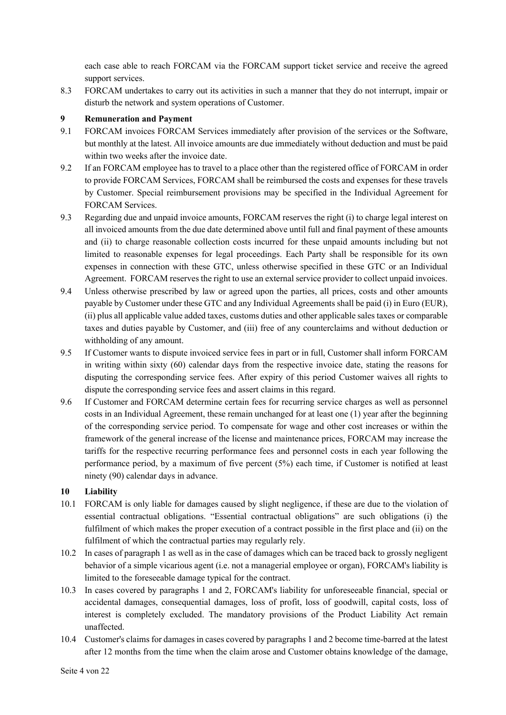each case able to reach FORCAM via the FORCAM support ticket service and receive the agreed support services.

8.3 FORCAM undertakes to carry out its activities in such a manner that they do not interrupt, impair or disturb the network and system operations of Customer.

## **9 Remuneration and Payment**

- 9.1 FORCAM invoices FORCAM Services immediately after provision of the services or the Software, but monthly at the latest. All invoice amounts are due immediately without deduction and must be paid within two weeks after the invoice date.
- 9.2 If an FORCAM employee has to travel to a place other than the registered office of FORCAM in order to provide FORCAM Services, FORCAM shall be reimbursed the costs and expenses for these travels by Customer. Special reimbursement provisions may be specified in the Individual Agreement for FORCAM Services.
- 9.3 Regarding due and unpaid invoice amounts, FORCAM reserves the right (i) to charge legal interest on all invoiced amounts from the due date determined above until full and final payment of these amounts and (ii) to charge reasonable collection costs incurred for these unpaid amounts including but not limited to reasonable expenses for legal proceedings. Each Party shall be responsible for its own expenses in connection with these GTC, unless otherwise specified in these GTC or an Individual Agreement. FORCAM reserves the right to use an external service provider to collect unpaid invoices.
- 9.4 Unless otherwise prescribed by law or agreed upon the parties, all prices, costs and other amounts payable by Customer under these GTC and any Individual Agreements shall be paid (i) in Euro (EUR), (ii) plus all applicable value added taxes, customs duties and other applicable sales taxes or comparable taxes and duties payable by Customer, and (iii) free of any counterclaims and without deduction or withholding of any amount.
- 9.5 If Customer wants to dispute invoiced service fees in part or in full, Customer shall inform FORCAM in writing within sixty (60) calendar days from the respective invoice date, stating the reasons for disputing the corresponding service fees. After expiry of this period Customer waives all rights to dispute the corresponding service fees and assert claims in this regard.
- 9.6 If Customer and FORCAM determine certain fees for recurring service charges as well as personnel costs in an Individual Agreement, these remain unchanged for at least one (1) year after the beginning of the corresponding service period. To compensate for wage and other cost increases or within the framework of the general increase of the license and maintenance prices, FORCAM may increase the tariffs for the respective recurring performance fees and personnel costs in each year following the performance period, by a maximum of five percent (5%) each time, if Customer is notified at least ninety (90) calendar days in advance.

# **10 Liability**

- 10.1 FORCAM is only liable for damages caused by slight negligence, if these are due to the violation of essential contractual obligations. "Essential contractual obligations" are such obligations (i) the fulfilment of which makes the proper execution of a contract possible in the first place and (ii) on the fulfilment of which the contractual parties may regularly rely.
- 10.2 In cases of paragraph 1 as well as in the case of damages which can be traced back to grossly negligent behavior of a simple vicarious agent (i.e. not a managerial employee or organ), FORCAM's liability is limited to the foreseeable damage typical for the contract.
- 10.3 In cases covered by paragraphs 1 and 2, FORCAM's liability for unforeseeable financial, special or accidental damages, consequential damages, loss of profit, loss of goodwill, capital costs, loss of interest is completely excluded. The mandatory provisions of the Product Liability Act remain unaffected.
- 10.4 Customer's claims for damages in cases covered by paragraphs 1 and 2 become time-barred at the latest after 12 months from the time when the claim arose and Customer obtains knowledge of the damage,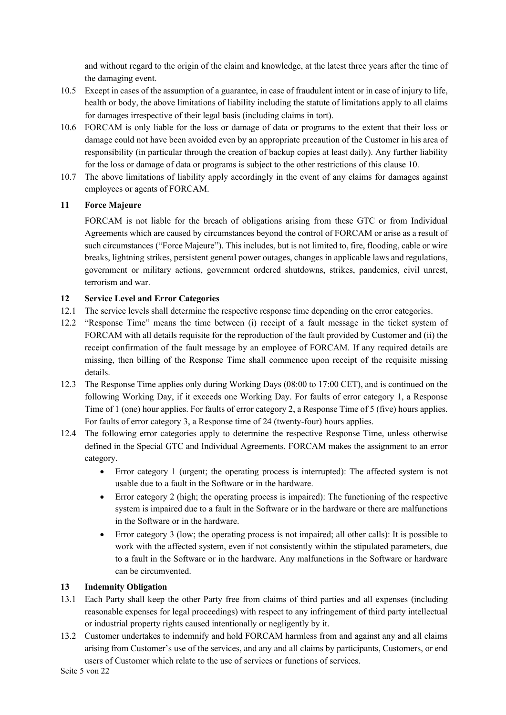and without regard to the origin of the claim and knowledge, at the latest three years after the time of the damaging event.

- 10.5 Except in cases of the assumption of a guarantee, in case of fraudulent intent or in case of injury to life, health or body, the above limitations of liability including the statute of limitations apply to all claims for damages irrespective of their legal basis (including claims in tort).
- 10.6 FORCAM is only liable for the loss or damage of data or programs to the extent that their loss or damage could not have been avoided even by an appropriate precaution of the Customer in his area of responsibility (in particular through the creation of backup copies at least daily). Any further liability for the loss or damage of data or programs is subject to the other restrictions of this clause 10.
- 10.7 The above limitations of liability apply accordingly in the event of any claims for damages against employees or agents of FORCAM.

## **11 Force Majeure**

FORCAM is not liable for the breach of obligations arising from these GTC or from Individual Agreements which are caused by circumstances beyond the control of FORCAM or arise as a result of such circumstances ("Force Majeure"). This includes, but is not limited to, fire, flooding, cable or wire breaks, lightning strikes, persistent general power outages, changes in applicable laws and regulations, government or military actions, government ordered shutdowns, strikes, pandemics, civil unrest, terrorism and war.

## **12 Service Level and Error Categories**

- 12.1 The service levels shall determine the respective response time depending on the error categories.
- 12.2 "Response Time" means the time between (i) receipt of a fault message in the ticket system of FORCAM with all details requisite for the reproduction of the fault provided by Customer and (ii) the receipt confirmation of the fault message by an employee of FORCAM. If any required details are missing, then billing of the Response Time shall commence upon receipt of the requisite missing details.
- 12.3 The Response Time applies only during Working Days (08:00 to 17:00 CET), and is continued on the following Working Day, if it exceeds one Working Day. For faults of error category 1, a Response Time of 1 (one) hour applies. For faults of error category 2, a Response Time of 5 (five) hours applies. For faults of error category 3, a Response time of 24 (twenty-four) hours applies.
- 12.4 The following error categories apply to determine the respective Response Time, unless otherwise defined in the Special GTC and Individual Agreements. FORCAM makes the assignment to an error category.
	- Error category 1 (urgent; the operating process is interrupted): The affected system is not usable due to a fault in the Software or in the hardware.
	- Error category 2 (high; the operating process is impaired): The functioning of the respective system is impaired due to a fault in the Software or in the hardware or there are malfunctions in the Software or in the hardware.
	- Error category 3 (low; the operating process is not impaired; all other calls): It is possible to work with the affected system, even if not consistently within the stipulated parameters, due to a fault in the Software or in the hardware. Any malfunctions in the Software or hardware can be circumvented.

### **13 Indemnity Obligation**

- 13.1 Each Party shall keep the other Party free from claims of third parties and all expenses (including reasonable expenses for legal proceedings) with respect to any infringement of third party intellectual or industrial property rights caused intentionally or negligently by it.
- 13.2 Customer undertakes to indemnify and hold FORCAM harmless from and against any and all claims arising from Customer's use of the services, and any and all claims by participants, Customers, or end users of Customer which relate to the use of services or functions of services.

Seite 5 von 22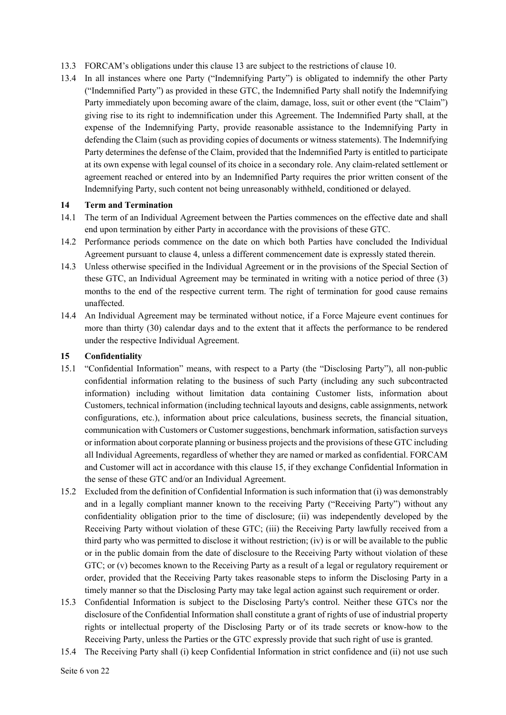- 13.3 FORCAM's obligations under this clause 13 are subject to the restrictions of clause 10.
- 13.4 In all instances where one Party ("Indemnifying Party") is obligated to indemnify the other Party ("Indemnified Party") as provided in these GTC, the Indemnified Party shall notify the Indemnifying Party immediately upon becoming aware of the claim, damage, loss, suit or other event (the "Claim") giving rise to its right to indemnification under this Agreement. The Indemnified Party shall, at the expense of the Indemnifying Party, provide reasonable assistance to the Indemnifying Party in defending the Claim (such as providing copies of documents or witness statements). The Indemnifying Party determines the defense of the Claim, provided that the Indemnified Party is entitled to participate at its own expense with legal counsel of its choice in a secondary role. Any claim-related settlement or agreement reached or entered into by an Indemnified Party requires the prior written consent of the Indemnifying Party, such content not being unreasonably withheld, conditioned or delayed.

### **14 Term and Termination**

- 14.1 The term of an Individual Agreement between the Parties commences on the effective date and shall end upon termination by either Party in accordance with the provisions of these GTC.
- 14.2 Performance periods commence on the date on which both Parties have concluded the Individual Agreement pursuant to clause 4, unless a different commencement date is expressly stated therein.
- 14.3 Unless otherwise specified in the Individual Agreement or in the provisions of the Special Section of these GTC, an Individual Agreement may be terminated in writing with a notice period of three (3) months to the end of the respective current term. The right of termination for good cause remains unaffected.
- 14.4 An Individual Agreement may be terminated without notice, if a Force Majeure event continues for more than thirty (30) calendar days and to the extent that it affects the performance to be rendered under the respective Individual Agreement.

#### **15 Confidentiality**

- 15.1 "Confidential Information" means, with respect to a Party (the "Disclosing Party"), all non-public confidential information relating to the business of such Party (including any such subcontracted information) including without limitation data containing Customer lists, information about Customers, technical information (including technical layouts and designs, cable assignments, network configurations, etc.), information about price calculations, business secrets, the financial situation, communication with Customers or Customer suggestions, benchmark information, satisfaction surveys or information about corporate planning or business projects and the provisions of these GTC including all Individual Agreements, regardless of whether they are named or marked as confidential. FORCAM and Customer will act in accordance with this clause 15, if they exchange Confidential Information in the sense of these GTC and/or an Individual Agreement.
- 15.2 Excluded from the definition of Confidential Information is such information that (i) was demonstrably and in a legally compliant manner known to the receiving Party ("Receiving Party") without any confidentiality obligation prior to the time of disclosure; (ii) was independently developed by the Receiving Party without violation of these GTC; (iii) the Receiving Party lawfully received from a third party who was permitted to disclose it without restriction; (iv) is or will be available to the public or in the public domain from the date of disclosure to the Receiving Party without violation of these GTC; or (v) becomes known to the Receiving Party as a result of a legal or regulatory requirement or order, provided that the Receiving Party takes reasonable steps to inform the Disclosing Party in a timely manner so that the Disclosing Party may take legal action against such requirement or order.
- 15.3 Confidential Information is subject to the Disclosing Party's control. Neither these GTCs nor the disclosure of the Confidential Information shall constitute a grant of rights of use of industrial property rights or intellectual property of the Disclosing Party or of its trade secrets or know-how to the Receiving Party, unless the Parties or the GTC expressly provide that such right of use is granted.
- 15.4 The Receiving Party shall (i) keep Confidential Information in strict confidence and (ii) not use such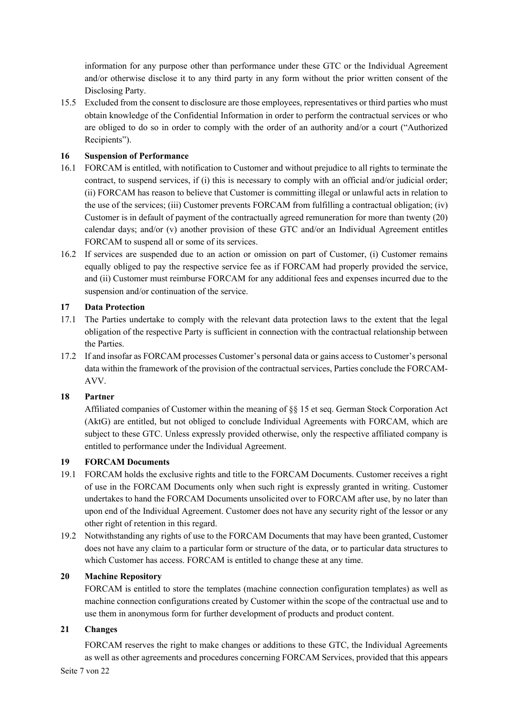information for any purpose other than performance under these GTC or the Individual Agreement and/or otherwise disclose it to any third party in any form without the prior written consent of the Disclosing Party.

15.5 Excluded from the consent to disclosure are those employees, representatives or third parties who must obtain knowledge of the Confidential Information in order to perform the contractual services or who are obliged to do so in order to comply with the order of an authority and/or a court ("Authorized Recipients").

# **16 Suspension of Performance**

- 16.1 FORCAM is entitled, with notification to Customer and without prejudice to all rights to terminate the contract, to suspend services, if (i) this is necessary to comply with an official and/or judicial order; (ii) FORCAM has reason to believe that Customer is committing illegal or unlawful acts in relation to the use of the services; (iii) Customer prevents FORCAM from fulfilling a contractual obligation; (iv) Customer is in default of payment of the contractually agreed remuneration for more than twenty (20) calendar days; and/or (v) another provision of these GTC and/or an Individual Agreement entitles FORCAM to suspend all or some of its services.
- 16.2 If services are suspended due to an action or omission on part of Customer, (i) Customer remains equally obliged to pay the respective service fee as if FORCAM had properly provided the service, and (ii) Customer must reimburse FORCAM for any additional fees and expenses incurred due to the suspension and/or continuation of the service.

## **17 Data Protection**

- 17.1 The Parties undertake to comply with the relevant data protection laws to the extent that the legal obligation of the respective Party is sufficient in connection with the contractual relationship between the Parties.
- 17.2 If and insofar as FORCAM processes Customer's personal data or gains access to Customer's personal data within the framework of the provision of the contractual services, Parties conclude the FORCAM-AVV.

### **18 Partner**

Affiliated companies of Customer within the meaning of §§ 15 et seq. German Stock Corporation Act (AktG) are entitled, but not obliged to conclude Individual Agreements with FORCAM, which are subject to these GTC. Unless expressly provided otherwise, only the respective affiliated company is entitled to performance under the Individual Agreement.

### **19 FORCAM Documents**

- 19.1 FORCAM holds the exclusive rights and title to the FORCAM Documents. Customer receives a right of use in the FORCAM Documents only when such right is expressly granted in writing. Customer undertakes to hand the FORCAM Documents unsolicited over to FORCAM after use, by no later than upon end of the Individual Agreement. Customer does not have any security right of the lessor or any other right of retention in this regard.
- 19.2 Notwithstanding any rights of use to the FORCAM Documents that may have been granted, Customer does not have any claim to a particular form or structure of the data, or to particular data structures to which Customer has access. FORCAM is entitled to change these at any time.

### **20 Machine Repository**

FORCAM is entitled to store the templates (machine connection configuration templates) as well as machine connection configurations created by Customer within the scope of the contractual use and to use them in anonymous form for further development of products and product content.

# **21 Changes**

FORCAM reserves the right to make changes or additions to these GTC, the Individual Agreements as well as other agreements and procedures concerning FORCAM Services, provided that this appears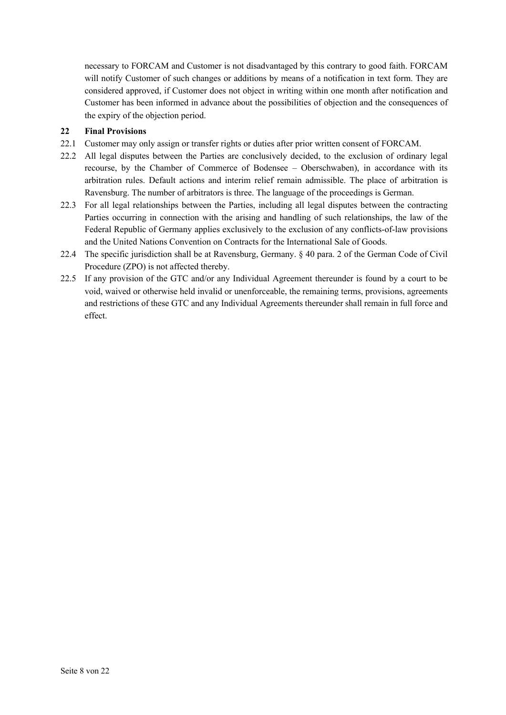necessary to FORCAM and Customer is not disadvantaged by this contrary to good faith. FORCAM will notify Customer of such changes or additions by means of a notification in text form. They are considered approved, if Customer does not object in writing within one month after notification and Customer has been informed in advance about the possibilities of objection and the consequences of the expiry of the objection period.

# **22 Final Provisions**

- 22.1 Customer may only assign or transfer rights or duties after prior written consent of FORCAM.
- 22.2 All legal disputes between the Parties are conclusively decided, to the exclusion of ordinary legal recourse, by the Chamber of Commerce of Bodensee – Oberschwaben), in accordance with its arbitration rules. Default actions and interim relief remain admissible. The place of arbitration is Ravensburg. The number of arbitrators is three. The language of the proceedings is German.
- 22.3 For all legal relationships between the Parties, including all legal disputes between the contracting Parties occurring in connection with the arising and handling of such relationships, the law of the Federal Republic of Germany applies exclusively to the exclusion of any conflicts-of-law provisions and the United Nations Convention on Contracts for the International Sale of Goods.
- 22.4 The specific jurisdiction shall be at Ravensburg, Germany. § 40 para. 2 of the German Code of Civil Procedure (ZPO) is not affected thereby.
- 22.5 If any provision of the GTC and/or any Individual Agreement thereunder is found by a court to be void, waived or otherwise held invalid or unenforceable, the remaining terms, provisions, agreements and restrictions of these GTC and any Individual Agreements thereunder shall remain in full force and effect.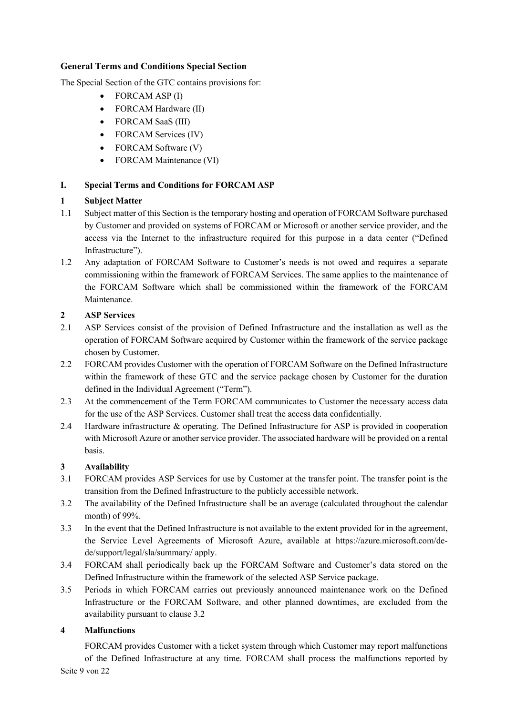## **General Terms and Conditions Special Section**

The Special Section of the GTC contains provisions for:

- FORCAM ASP (I)
- FORCAM Hardware (II)
- FORCAM SaaS (III)
- FORCAM Services (IV)
- FORCAM Software (V)
- FORCAM Maintenance (VI)

# **I. Special Terms and Conditions for FORCAM ASP**

## **1 Subject Matter**

- 1.1 Subject matter of this Section is the temporary hosting and operation of FORCAM Software purchased by Customer and provided on systems of FORCAM or Microsoft or another service provider, and the access via the Internet to the infrastructure required for this purpose in a data center ("Defined Infrastructure").
- 1.2 Any adaptation of FORCAM Software to Customer's needs is not owed and requires a separate commissioning within the framework of FORCAM Services. The same applies to the maintenance of the FORCAM Software which shall be commissioned within the framework of the FORCAM Maintenance.

## **2 ASP Services**

- 2.1 ASP Services consist of the provision of Defined Infrastructure and the installation as well as the operation of FORCAM Software acquired by Customer within the framework of the service package chosen by Customer.
- 2.2 FORCAM provides Customer with the operation of FORCAM Software on the Defined Infrastructure within the framework of these GTC and the service package chosen by Customer for the duration defined in the Individual Agreement ("Term").
- 2.3 At the commencement of the Term FORCAM communicates to Customer the necessary access data for the use of the ASP Services. Customer shall treat the access data confidentially.
- 2.4 Hardware infrastructure & operating. The Defined Infrastructure for ASP is provided in cooperation with Microsoft Azure or another service provider. The associated hardware will be provided on a rental basis.

# **3 Availability**

- 3.1 FORCAM provides ASP Services for use by Customer at the transfer point. The transfer point is the transition from the Defined Infrastructure to the publicly accessible network.
- 3.2 The availability of the Defined Infrastructure shall be an average (calculated throughout the calendar month) of 99%.
- 3.3 In the event that the Defined Infrastructure is not available to the extent provided for in the agreement, the Service Level Agreements of Microsoft Azure, available at https://azure.microsoft.com/dede/support/legal/sla/summary/ apply.
- 3.4 FORCAM shall periodically back up the FORCAM Software and Customer's data stored on the Defined Infrastructure within the framework of the selected ASP Service package.
- 3.5 Periods in which FORCAM carries out previously announced maintenance work on the Defined Infrastructure or the FORCAM Software, and other planned downtimes, are excluded from the availability pursuant to clause 3.2

# **4 Malfunctions**

Seite 9 von 22 FORCAM provides Customer with a ticket system through which Customer may report malfunctions of the Defined Infrastructure at any time. FORCAM shall process the malfunctions reported by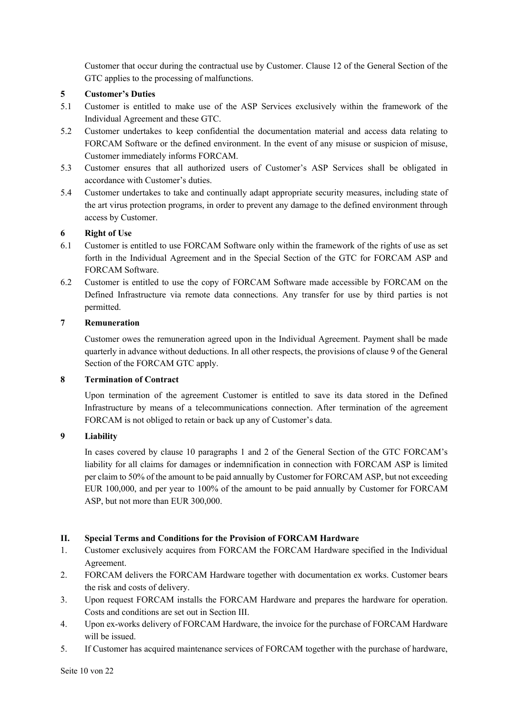Customer that occur during the contractual use by Customer. Clause 12 of the General Section of the GTC applies to the processing of malfunctions.

## **5 Customer's Duties**

- 5.1 Customer is entitled to make use of the ASP Services exclusively within the framework of the Individual Agreement and these GTC.
- 5.2 Customer undertakes to keep confidential the documentation material and access data relating to FORCAM Software or the defined environment. In the event of any misuse or suspicion of misuse, Customer immediately informs FORCAM.
- 5.3 Customer ensures that all authorized users of Customer's ASP Services shall be obligated in accordance with Customer's duties.
- 5.4 Customer undertakes to take and continually adapt appropriate security measures, including state of the art virus protection programs, in order to prevent any damage to the defined environment through access by Customer.

# **6 Right of Use**

- 6.1 Customer is entitled to use FORCAM Software only within the framework of the rights of use as set forth in the Individual Agreement and in the Special Section of the GTC for FORCAM ASP and FORCAM Software.
- 6.2 Customer is entitled to use the copy of FORCAM Software made accessible by FORCAM on the Defined Infrastructure via remote data connections. Any transfer for use by third parties is not permitted.

# **7 Remuneration**

Customer owes the remuneration agreed upon in the Individual Agreement. Payment shall be made quarterly in advance without deductions. In all other respects, the provisions of clause 9 of the General Section of the FORCAM GTC apply.

# **8 Termination of Contract**

Upon termination of the agreement Customer is entitled to save its data stored in the Defined Infrastructure by means of a telecommunications connection. After termination of the agreement FORCAM is not obliged to retain or back up any of Customer's data.

# **9 Liability**

In cases covered by clause 10 paragraphs 1 and 2 of the General Section of the GTC FORCAM's liability for all claims for damages or indemnification in connection with FORCAM ASP is limited per claim to 50% of the amount to be paid annually by Customer for FORCAM ASP, but not exceeding EUR 100,000, and per year to 100% of the amount to be paid annually by Customer for FORCAM ASP, but not more than EUR 300,000.

# **II. Special Terms and Conditions for the Provision of FORCAM Hardware**

- 1. Customer exclusively acquires from FORCAM the FORCAM Hardware specified in the Individual Agreement.
- 2. FORCAM delivers the FORCAM Hardware together with documentation ex works. Customer bears the risk and costs of delivery.
- 3. Upon request FORCAM installs the FORCAM Hardware and prepares the hardware for operation. Costs and conditions are set out in Section III.
- 4. Upon ex-works delivery of FORCAM Hardware, the invoice for the purchase of FORCAM Hardware will be issued.
- 5. If Customer has acquired maintenance services of FORCAM together with the purchase of hardware,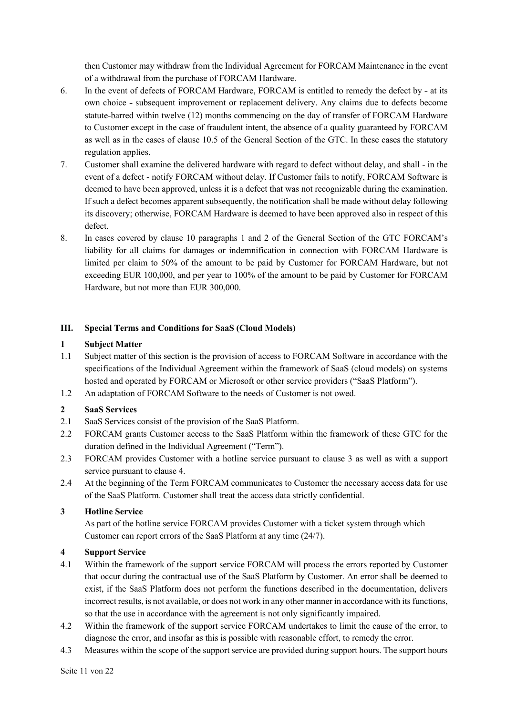then Customer may withdraw from the Individual Agreement for FORCAM Maintenance in the event of a withdrawal from the purchase of FORCAM Hardware.

- 6. In the event of defects of FORCAM Hardware, FORCAM is entitled to remedy the defect by at its own choice - subsequent improvement or replacement delivery. Any claims due to defects become statute-barred within twelve (12) months commencing on the day of transfer of FORCAM Hardware to Customer except in the case of fraudulent intent, the absence of a quality guaranteed by FORCAM as well as in the cases of clause 10.5 of the General Section of the GTC. In these cases the statutory regulation applies.
- 7. Customer shall examine the delivered hardware with regard to defect without delay, and shall in the event of a defect - notify FORCAM without delay. If Customer fails to notify, FORCAM Software is deemed to have been approved, unless it is a defect that was not recognizable during the examination. If such a defect becomes apparent subsequently, the notification shall be made without delay following its discovery; otherwise, FORCAM Hardware is deemed to have been approved also in respect of this defect.
- 8. In cases covered by clause 10 paragraphs 1 and 2 of the General Section of the GTC FORCAM's liability for all claims for damages or indemnification in connection with FORCAM Hardware is limited per claim to 50% of the amount to be paid by Customer for FORCAM Hardware, but not exceeding EUR 100,000, and per year to 100% of the amount to be paid by Customer for FORCAM Hardware, but not more than EUR 300,000.

## **III. Special Terms and Conditions for SaaS (Cloud Models)**

## **1 Subject Matter**

- 1.1 Subject matter of this section is the provision of access to FORCAM Software in accordance with the specifications of the Individual Agreement within the framework of SaaS (cloud models) on systems hosted and operated by FORCAM or Microsoft or other service providers ("SaaS Platform").
- 1.2 An adaptation of FORCAM Software to the needs of Customer is not owed.

### **2 SaaS Services**

- 2.1 SaaS Services consist of the provision of the SaaS Platform.
- 2.2 FORCAM grants Customer access to the SaaS Platform within the framework of these GTC for the duration defined in the Individual Agreement ("Term").
- 2.3 FORCAM provides Customer with a hotline service pursuant to clause 3 as well as with a support service pursuant to clause 4.
- 2.4 At the beginning of the Term FORCAM communicates to Customer the necessary access data for use of the SaaS Platform. Customer shall treat the access data strictly confidential.

### **3 Hotline Service**

As part of the hotline service FORCAM provides Customer with a ticket system through which Customer can report errors of the SaaS Platform at any time (24/7).

# **4 Support Service**

- 4.1 Within the framework of the support service FORCAM will process the errors reported by Customer that occur during the contractual use of the SaaS Platform by Customer. An error shall be deemed to exist, if the SaaS Platform does not perform the functions described in the documentation, delivers incorrect results, is not available, or does not work in any other manner in accordance with its functions, so that the use in accordance with the agreement is not only significantly impaired.
- 4.2 Within the framework of the support service FORCAM undertakes to limit the cause of the error, to diagnose the error, and insofar as this is possible with reasonable effort, to remedy the error.
- 4.3 Measures within the scope of the support service are provided during support hours. The support hours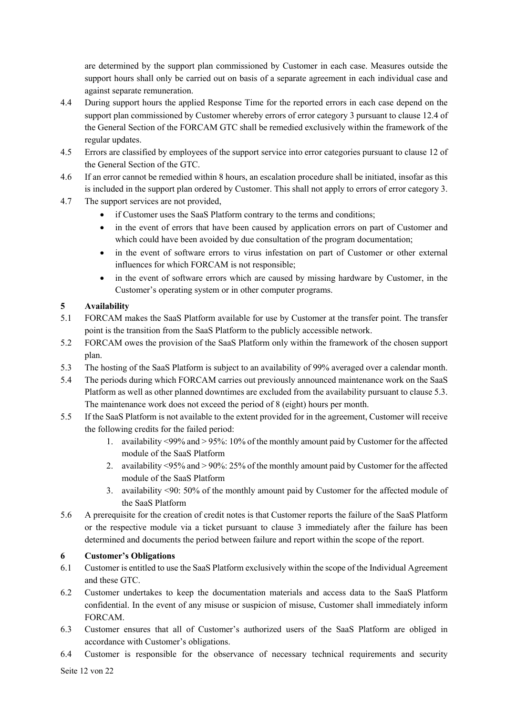are determined by the support plan commissioned by Customer in each case. Measures outside the support hours shall only be carried out on basis of a separate agreement in each individual case and against separate remuneration.

- 4.4 During support hours the applied Response Time for the reported errors in each case depend on the support plan commissioned by Customer whereby errors of error category 3 pursuant to clause 12.4 of the General Section of the FORCAM GTC shall be remedied exclusively within the framework of the regular updates.
- 4.5 Errors are classified by employees of the support service into error categories pursuant to clause 12 of the General Section of the GTC.
- 4.6 If an error cannot be remedied within 8 hours, an escalation procedure shall be initiated, insofar as this is included in the support plan ordered by Customer. This shall not apply to errors of error category 3.
- 4.7 The support services are not provided,
	- if Customer uses the SaaS Platform contrary to the terms and conditions;
	- in the event of errors that have been caused by application errors on part of Customer and which could have been avoided by due consultation of the program documentation;
	- in the event of software errors to virus infestation on part of Customer or other external influences for which FORCAM is not responsible;
	- in the event of software errors which are caused by missing hardware by Customer, in the Customer's operating system or in other computer programs.

# **5 Availability**

- 5.1 FORCAM makes the SaaS Platform available for use by Customer at the transfer point. The transfer point is the transition from the SaaS Platform to the publicly accessible network.
- 5.2 FORCAM owes the provision of the SaaS Platform only within the framework of the chosen support plan.
- 5.3 The hosting of the SaaS Platform is subject to an availability of 99% averaged over a calendar month.
- 5.4 The periods during which FORCAM carries out previously announced maintenance work on the SaaS Platform as well as other planned downtimes are excluded from the availability pursuant to clause 5.3. The maintenance work does not exceed the period of 8 (eight) hours per month.
- 5.5 If the SaaS Platform is not available to the extent provided for in the agreement, Customer will receive the following credits for the failed period:
	- 1. availability <99% and > 95%: 10% of the monthly amount paid by Customer for the affected module of the SaaS Platform
	- 2. availability <95% and > 90%: 25% of the monthly amount paid by Customer for the affected module of the SaaS Platform
	- 3. availability <90: 50% of the monthly amount paid by Customer for the affected module of the SaaS Platform
- 5.6 A prerequisite for the creation of credit notes is that Customer reports the failure of the SaaS Platform or the respective module via a ticket pursuant to clause 3 immediately after the failure has been determined and documents the period between failure and report within the scope of the report.

# **6 Customer's Obligations**

- 6.1 Customer is entitled to use the SaaS Platform exclusively within the scope of the Individual Agreement and these GTC.
- 6.2 Customer undertakes to keep the documentation materials and access data to the SaaS Platform confidential. In the event of any misuse or suspicion of misuse, Customer shall immediately inform FORCAM.
- 6.3 Customer ensures that all of Customer's authorized users of the SaaS Platform are obliged in accordance with Customer's obligations.
- 6.4 Customer is responsible for the observance of necessary technical requirements and security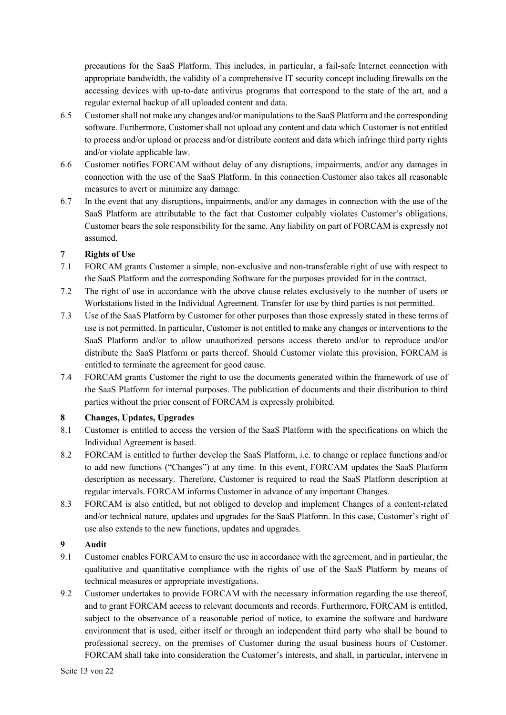precautions for the SaaS Platform. This includes, in particular, a fail-safe Internet connection with appropriate bandwidth, the validity of a comprehensive IT security concept including firewalls on the accessing devices with up-to-date antivirus programs that correspond to the state of the art, and a regular external backup of all uploaded content and data.

- 6.5 Customer shall not make any changes and/or manipulations to the SaaS Platform and the corresponding software. Furthermore, Customer shall not upload any content and data which Customer is not entitled to process and/or upload or process and/or distribute content and data which infringe third party rights and/or violate applicable law.
- 6.6 Customer notifies FORCAM without delay of any disruptions, impairments, and/or any damages in connection with the use of the SaaS Platform. In this connection Customer also takes all reasonable measures to avert or minimize any damage.
- 6.7 In the event that any disruptions, impairments, and/or any damages in connection with the use of the SaaS Platform are attributable to the fact that Customer culpably violates Customer's obligations, Customer bears the sole responsibility for the same. Any liability on part of FORCAM is expressly not assumed.

## **7 Rights of Use**

- 7.1 FORCAM grants Customer a simple, non-exclusive and non-transferable right of use with respect to the SaaS Platform and the corresponding Software for the purposes provided for in the contract.
- 7.2 The right of use in accordance with the above clause relates exclusively to the number of users or Workstations listed in the Individual Agreement. Transfer for use by third parties is not permitted.
- 7.3 Use of the SaaS Platform by Customer for other purposes than those expressly stated in these terms of use is not permitted. In particular, Customer is not entitled to make any changes or interventions to the SaaS Platform and/or to allow unauthorized persons access thereto and/or to reproduce and/or distribute the SaaS Platform or parts thereof. Should Customer violate this provision, FORCAM is entitled to terminate the agreement for good cause.
- 7.4 FORCAM grants Customer the right to use the documents generated within the framework of use of the SaaS Platform for internal purposes. The publication of documents and their distribution to third parties without the prior consent of FORCAM is expressly prohibited.

### **8 Changes, Updates, Upgrades**

- 8.1 Customer is entitled to access the version of the SaaS Platform with the specifications on which the Individual Agreement is based.
- 8.2 FORCAM is entitled to further develop the SaaS Platform, i.e. to change or replace functions and/or to add new functions ("Changes") at any time. In this event, FORCAM updates the SaaS Platform description as necessary. Therefore, Customer is required to read the SaaS Platform description at regular intervals. FORCAM informs Customer in advance of any important Changes.
- 8.3 FORCAM is also entitled, but not obliged to develop and implement Changes of a content-related and/or technical nature, updates and upgrades for the SaaS Platform. In this case, Customer's right of use also extends to the new functions, updates and upgrades.

# **9 Audit**

- 9.1 Customer enables FORCAM to ensure the use in accordance with the agreement, and in particular, the qualitative and quantitative compliance with the rights of use of the SaaS Platform by means of technical measures or appropriate investigations.
- 9.2 Customer undertakes to provide FORCAM with the necessary information regarding the use thereof, and to grant FORCAM access to relevant documents and records. Furthermore, FORCAM is entitled, subject to the observance of a reasonable period of notice, to examine the software and hardware environment that is used, either itself or through an independent third party who shall be bound to professional secrecy, on the premises of Customer during the usual business hours of Customer. FORCAM shall take into consideration the Customer's interests, and shall, in particular, intervene in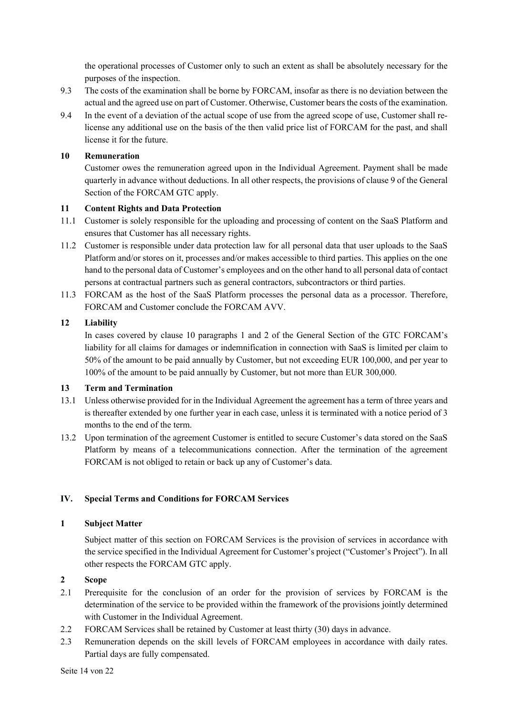the operational processes of Customer only to such an extent as shall be absolutely necessary for the purposes of the inspection.

- 9.3 The costs of the examination shall be borne by FORCAM, insofar as there is no deviation between the actual and the agreed use on part of Customer. Otherwise, Customer bears the costs of the examination.
- 9.4 In the event of a deviation of the actual scope of use from the agreed scope of use, Customer shall relicense any additional use on the basis of the then valid price list of FORCAM for the past, and shall license it for the future.

## **10 Remuneration**

Customer owes the remuneration agreed upon in the Individual Agreement. Payment shall be made quarterly in advance without deductions. In all other respects, the provisions of clause 9 of the General Section of the FORCAM GTC apply.

## **11 Content Rights and Data Protection**

- 11.1 Customer is solely responsible for the uploading and processing of content on the SaaS Platform and ensures that Customer has all necessary rights.
- 11.2 Customer is responsible under data protection law for all personal data that user uploads to the SaaS Platform and/or stores on it, processes and/or makes accessible to third parties. This applies on the one hand to the personal data of Customer's employees and on the other hand to all personal data of contact persons at contractual partners such as general contractors, subcontractors or third parties.
- 11.3 FORCAM as the host of the SaaS Platform processes the personal data as a processor. Therefore, FORCAM and Customer conclude the FORCAM AVV.

## **12 Liability**

In cases covered by clause 10 paragraphs 1 and 2 of the General Section of the GTC FORCAM's liability for all claims for damages or indemnification in connection with SaaS is limited per claim to 50% of the amount to be paid annually by Customer, but not exceeding EUR 100,000, and per year to 100% of the amount to be paid annually by Customer, but not more than EUR 300,000.

### **13 Term and Termination**

- 13.1 Unless otherwise provided for in the Individual Agreement the agreement has a term of three years and is thereafter extended by one further year in each case, unless it is terminated with a notice period of 3 months to the end of the term.
- 13.2 Upon termination of the agreement Customer is entitled to secure Customer's data stored on the SaaS Platform by means of a telecommunications connection. After the termination of the agreement FORCAM is not obliged to retain or back up any of Customer's data.

# **IV. Special Terms and Conditions for FORCAM Services**

# **1 Subject Matter**

Subject matter of this section on FORCAM Services is the provision of services in accordance with the service specified in the Individual Agreement for Customer's project ("Customer's Project"). In all other respects the FORCAM GTC apply.

# **2 Scope**

- 2.1 Prerequisite for the conclusion of an order for the provision of services by FORCAM is the determination of the service to be provided within the framework of the provisions jointly determined with Customer in the Individual Agreement.
- 2.2 FORCAM Services shall be retained by Customer at least thirty (30) days in advance.
- 2.3 Remuneration depends on the skill levels of FORCAM employees in accordance with daily rates. Partial days are fully compensated.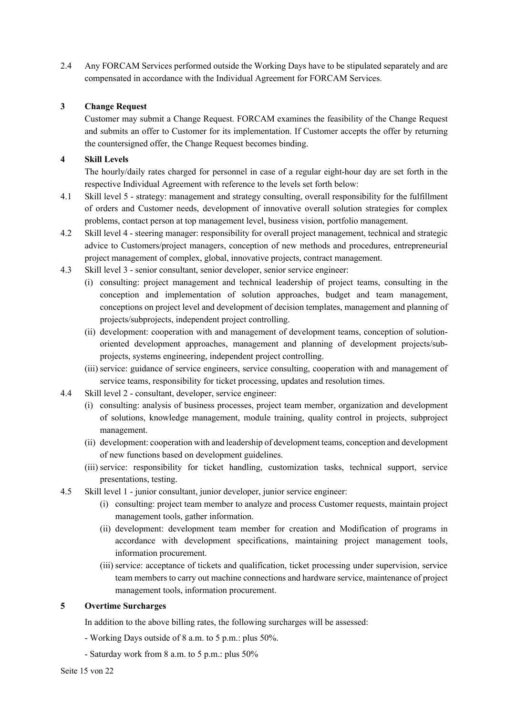2.4 Any FORCAM Services performed outside the Working Days have to be stipulated separately and are compensated in accordance with the Individual Agreement for FORCAM Services.

## **3 Change Request**

Customer may submit a Change Request. FORCAM examines the feasibility of the Change Request and submits an offer to Customer for its implementation. If Customer accepts the offer by returning the countersigned offer, the Change Request becomes binding.

## **4 Skill Levels**

The hourly/daily rates charged for personnel in case of a regular eight-hour day are set forth in the respective Individual Agreement with reference to the levels set forth below:

- 4.1 Skill level 5 strategy: management and strategy consulting, overall responsibility for the fulfillment of orders and Customer needs, development of innovative overall solution strategies for complex problems, contact person at top management level, business vision, portfolio management.
- 4.2 Skill level 4 steering manager: responsibility for overall project management, technical and strategic advice to Customers/project managers, conception of new methods and procedures, entrepreneurial project management of complex, global, innovative projects, contract management.
- 4.3 Skill level 3 senior consultant, senior developer, senior service engineer:
	- (i) consulting: project management and technical leadership of project teams, consulting in the conception and implementation of solution approaches, budget and team management, conceptions on project level and development of decision templates, management and planning of projects/subprojects, independent project controlling.
	- (ii) development: cooperation with and management of development teams, conception of solutionoriented development approaches, management and planning of development projects/subprojects, systems engineering, independent project controlling.
	- (iii) service: guidance of service engineers, service consulting, cooperation with and management of service teams, responsibility for ticket processing, updates and resolution times.
- 4.4 Skill level 2 consultant, developer, service engineer:
	- (i) consulting: analysis of business processes, project team member, organization and development of solutions, knowledge management, module training, quality control in projects, subproject management.
	- (ii) development: cooperation with and leadership of development teams, conception and development of new functions based on development guidelines.
	- (iii) service: responsibility for ticket handling, customization tasks, technical support, service presentations, testing.
- 4.5 Skill level 1 junior consultant, junior developer, junior service engineer:
	- (i) consulting: project team member to analyze and process Customer requests, maintain project management tools, gather information.
	- (ii) development: development team member for creation and Modification of programs in accordance with development specifications, maintaining project management tools, information procurement.
	- (iii) service: acceptance of tickets and qualification, ticket processing under supervision, service team members to carry out machine connections and hardware service, maintenance of project management tools, information procurement.

### **5 Overtime Surcharges**

In addition to the above billing rates, the following surcharges will be assessed:

- Working Days outside of 8 a.m. to 5 p.m.: plus 50%.
- Saturday work from 8 a.m. to 5 p.m.: plus 50%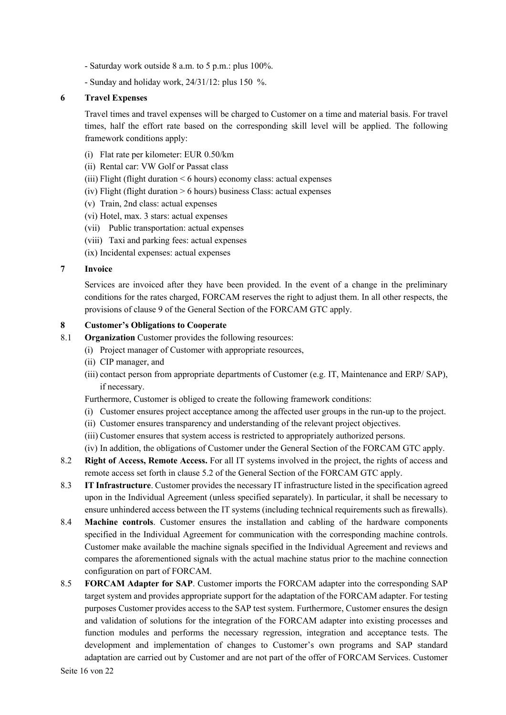- Saturday work outside 8 a.m. to 5 p.m.: plus 100%.
- Sunday and holiday work, 24/31/12: plus 150 %.

### **6 Travel Expenses**

Travel times and travel expenses will be charged to Customer on a time and material basis. For travel times, half the effort rate based on the corresponding skill level will be applied. The following framework conditions apply:

- (i) Flat rate per kilometer: EUR 0.50/km
- (ii) Rental car: VW Golf or Passat class
- (iii) Flight (flight duration < 6 hours) economy class: actual expenses
- (iv) Flight (flight duration  $> 6$  hours) business Class: actual expenses
- (v) Train, 2nd class: actual expenses
- (vi) Hotel, max. 3 stars: actual expenses
- (vii) Public transportation: actual expenses
- (viii) Taxi and parking fees: actual expenses
- (ix) Incidental expenses: actual expenses

### **7 Invoice**

Services are invoiced after they have been provided. In the event of a change in the preliminary conditions for the rates charged, FORCAM reserves the right to adjust them. In all other respects, the provisions of clause 9 of the General Section of the FORCAM GTC apply.

#### **8 Customer's Obligations to Cooperate**

- 8.1 **Organization** Customer provides the following resources:
	- (i) Project manager of Customer with appropriate resources,
	- (ii) CIP manager, and
	- (iii) contact person from appropriate departments of Customer (e.g. IT, Maintenance and ERP/ SAP), if necessary.

Furthermore, Customer is obliged to create the following framework conditions:

- (i) Customer ensures project acceptance among the affected user groups in the run-up to the project.
- (ii) Customer ensures transparency and understanding of the relevant project objectives.
- (iii) Customer ensures that system access is restricted to appropriately authorized persons.
- (iv) In addition, the obligations of Customer under the General Section of the FORCAM GTC apply.
- 8.2 **Right of Access, Remote Access.** For all IT systems involved in the project, the rights of access and remote access set forth in clause 5.2 of the General Section of the FORCAM GTC apply.
- 8.3 **IT Infrastructure**. Customer provides the necessary IT infrastructure listed in the specification agreed upon in the Individual Agreement (unless specified separately). In particular, it shall be necessary to ensure unhindered access between the IT systems (including technical requirements such as firewalls).
- 8.4 **Machine controls**. Customer ensures the installation and cabling of the hardware components specified in the Individual Agreement for communication with the corresponding machine controls. Customer make available the machine signals specified in the Individual Agreement and reviews and compares the aforementioned signals with the actual machine status prior to the machine connection configuration on part of FORCAM.
- 8.5 **FORCAM Adapter for SAP**. Customer imports the FORCAM adapter into the corresponding SAP target system and provides appropriate support for the adaptation of the FORCAM adapter. For testing purposes Customer provides access to the SAP test system. Furthermore, Customer ensures the design and validation of solutions for the integration of the FORCAM adapter into existing processes and function modules and performs the necessary regression, integration and acceptance tests. The development and implementation of changes to Customer's own programs and SAP standard adaptation are carried out by Customer and are not part of the offer of FORCAM Services. Customer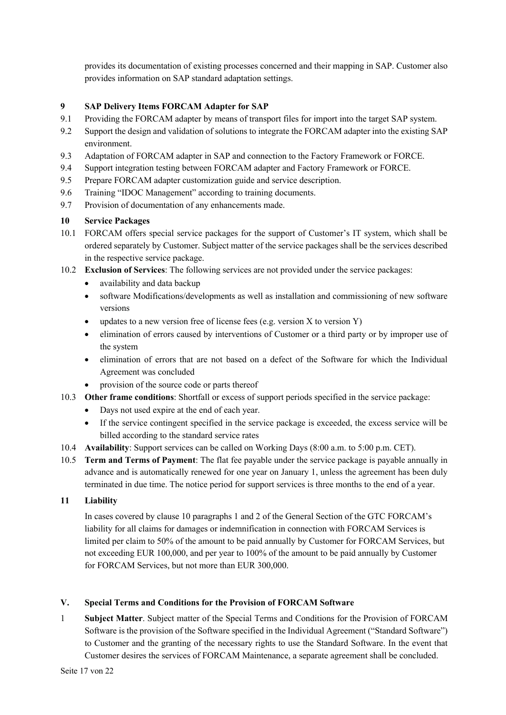provides its documentation of existing processes concerned and their mapping in SAP. Customer also provides information on SAP standard adaptation settings.

# **9 SAP Delivery Items FORCAM Adapter for SAP**

- 9.1 Providing the FORCAM adapter by means of transport files for import into the target SAP system.
- 9.2 Support the design and validation of solutions to integrate the FORCAM adapter into the existing SAP environment.
- 9.3 Adaptation of FORCAM adapter in SAP and connection to the Factory Framework or FORCE.
- 9.4 Support integration testing between FORCAM adapter and Factory Framework or FORCE.
- 9.5 Prepare FORCAM adapter customization guide and service description.
- 9.6 Training "IDOC Management" according to training documents.
- 9.7 Provision of documentation of any enhancements made.

## **10 Service Packages**

- 10.1 FORCAM offers special service packages for the support of Customer's IT system, which shall be ordered separately by Customer. Subject matter of the service packages shall be the services described in the respective service package.
- 10.2 **Exclusion of Services**: The following services are not provided under the service packages:
	- availability and data backup
	- software Modifications/developments as well as installation and commissioning of new software versions
	- updates to a new version free of license fees (e.g. version  $X$  to version  $Y$ )
	- elimination of errors caused by interventions of Customer or a third party or by improper use of the system
	- elimination of errors that are not based on a defect of the Software for which the Individual Agreement was concluded
	- provision of the source code or parts thereof
- 10.3 **Other frame conditions**: Shortfall or excess of support periods specified in the service package:
	- Days not used expire at the end of each year.
	- If the service contingent specified in the service package is exceeded, the excess service will be billed according to the standard service rates
- 10.4 **Availability**: Support services can be called on Working Days (8:00 a.m. to 5:00 p.m. CET).
- 10.5 **Term and Terms of Payment**: The flat fee payable under the service package is payable annually in advance and is automatically renewed for one year on January 1, unless the agreement has been duly terminated in due time. The notice period for support services is three months to the end of a year.

### **11 Liability**

In cases covered by clause 10 paragraphs 1 and 2 of the General Section of the GTC FORCAM's liability for all claims for damages or indemnification in connection with FORCAM Services is limited per claim to 50% of the amount to be paid annually by Customer for FORCAM Services, but not exceeding EUR 100,000, and per year to 100% of the amount to be paid annually by Customer for FORCAM Services, but not more than EUR 300,000.

# **V. Special Terms and Conditions for the Provision of FORCAM Software**

1 **Subject Matter**. Subject matter of the Special Terms and Conditions for the Provision of FORCAM Software is the provision of the Software specified in the Individual Agreement ("Standard Software") to Customer and the granting of the necessary rights to use the Standard Software. In the event that Customer desires the services of FORCAM Maintenance, a separate agreement shall be concluded.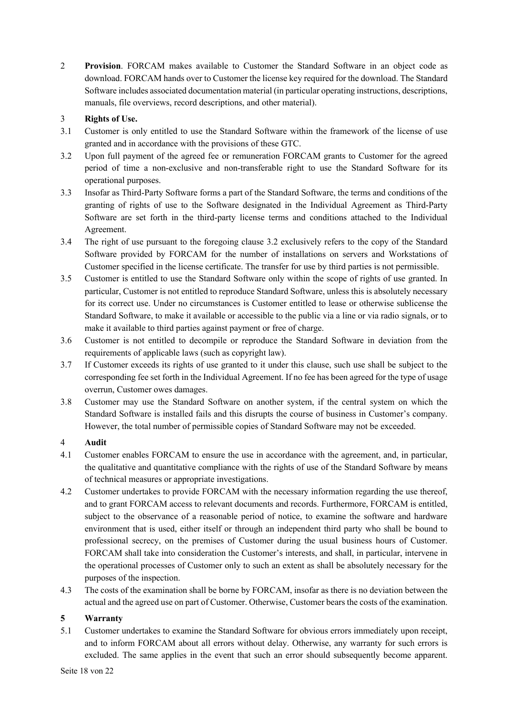2 **Provision**. FORCAM makes available to Customer the Standard Software in an object code as download. FORCAM hands over to Customer the license key required for the download. The Standard Software includes associated documentation material (in particular operating instructions, descriptions, manuals, file overviews, record descriptions, and other material).

# 3 **Rights of Use.**

- 3.1 Customer is only entitled to use the Standard Software within the framework of the license of use granted and in accordance with the provisions of these GTC.
- 3.2 Upon full payment of the agreed fee or remuneration FORCAM grants to Customer for the agreed period of time a non-exclusive and non-transferable right to use the Standard Software for its operational purposes.
- 3.3 Insofar as Third-Party Software forms a part of the Standard Software, the terms and conditions of the granting of rights of use to the Software designated in the Individual Agreement as Third-Party Software are set forth in the third-party license terms and conditions attached to the Individual Agreement.
- 3.4 The right of use pursuant to the foregoing clause 3.2 exclusively refers to the copy of the Standard Software provided by FORCAM for the number of installations on servers and Workstations of Customer specified in the license certificate. The transfer for use by third parties is not permissible.
- 3.5 Customer is entitled to use the Standard Software only within the scope of rights of use granted. In particular, Customer is not entitled to reproduce Standard Software, unless this is absolutely necessary for its correct use. Under no circumstances is Customer entitled to lease or otherwise sublicense the Standard Software, to make it available or accessible to the public via a line or via radio signals, or to make it available to third parties against payment or free of charge.
- 3.6 Customer is not entitled to decompile or reproduce the Standard Software in deviation from the requirements of applicable laws (such as copyright law).
- 3.7 If Customer exceeds its rights of use granted to it under this clause, such use shall be subject to the corresponding fee set forth in the Individual Agreement. If no fee has been agreed for the type of usage overrun, Customer owes damages.
- 3.8 Customer may use the Standard Software on another system, if the central system on which the Standard Software is installed fails and this disrupts the course of business in Customer's company. However, the total number of permissible copies of Standard Software may not be exceeded.

# 4 **Audit**

- 4.1 Customer enables FORCAM to ensure the use in accordance with the agreement, and, in particular, the qualitative and quantitative compliance with the rights of use of the Standard Software by means of technical measures or appropriate investigations.
- 4.2 Customer undertakes to provide FORCAM with the necessary information regarding the use thereof, and to grant FORCAM access to relevant documents and records. Furthermore, FORCAM is entitled, subject to the observance of a reasonable period of notice, to examine the software and hardware environment that is used, either itself or through an independent third party who shall be bound to professional secrecy, on the premises of Customer during the usual business hours of Customer. FORCAM shall take into consideration the Customer's interests, and shall, in particular, intervene in the operational processes of Customer only to such an extent as shall be absolutely necessary for the purposes of the inspection.
- 4.3 The costs of the examination shall be borne by FORCAM, insofar as there is no deviation between the actual and the agreed use on part of Customer. Otherwise, Customer bears the costs of the examination.

# **5 Warranty**

5.1 Customer undertakes to examine the Standard Software for obvious errors immediately upon receipt, and to inform FORCAM about all errors without delay. Otherwise, any warranty for such errors is excluded. The same applies in the event that such an error should subsequently become apparent.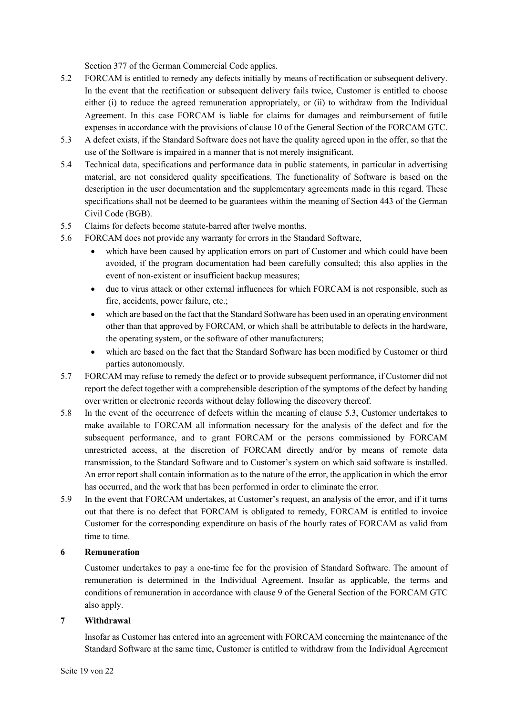Section 377 of the German Commercial Code applies.

- 5.2 FORCAM is entitled to remedy any defects initially by means of rectification or subsequent delivery. In the event that the rectification or subsequent delivery fails twice, Customer is entitled to choose either (i) to reduce the agreed remuneration appropriately, or (ii) to withdraw from the Individual Agreement. In this case FORCAM is liable for claims for damages and reimbursement of futile expenses in accordance with the provisions of clause 10 of the General Section of the FORCAM GTC.
- 5.3 A defect exists, if the Standard Software does not have the quality agreed upon in the offer, so that the use of the Software is impaired in a manner that is not merely insignificant.
- 5.4 Technical data, specifications and performance data in public statements, in particular in advertising material, are not considered quality specifications. The functionality of Software is based on the description in the user documentation and the supplementary agreements made in this regard. These specifications shall not be deemed to be guarantees within the meaning of Section 443 of the German Civil Code (BGB).
- 5.5 Claims for defects become statute-barred after twelve months.
- 5.6 FORCAM does not provide any warranty for errors in the Standard Software,
	- which have been caused by application errors on part of Customer and which could have been avoided, if the program documentation had been carefully consulted; this also applies in the event of non-existent or insufficient backup measures;
	- due to virus attack or other external influences for which FORCAM is not responsible, such as fire, accidents, power failure, etc.;
	- which are based on the fact that the Standard Software has been used in an operating environment other than that approved by FORCAM, or which shall be attributable to defects in the hardware, the operating system, or the software of other manufacturers;
	- which are based on the fact that the Standard Software has been modified by Customer or third parties autonomously.
- 5.7 FORCAM may refuse to remedy the defect or to provide subsequent performance, if Customer did not report the defect together with a comprehensible description of the symptoms of the defect by handing over written or electronic records without delay following the discovery thereof.
- 5.8 In the event of the occurrence of defects within the meaning of clause 5.3, Customer undertakes to make available to FORCAM all information necessary for the analysis of the defect and for the subsequent performance, and to grant FORCAM or the persons commissioned by FORCAM unrestricted access, at the discretion of FORCAM directly and/or by means of remote data transmission, to the Standard Software and to Customer's system on which said software is installed. An error report shall contain information as to the nature of the error, the application in which the error has occurred, and the work that has been performed in order to eliminate the error.
- 5.9 In the event that FORCAM undertakes, at Customer's request, an analysis of the error, and if it turns out that there is no defect that FORCAM is obligated to remedy, FORCAM is entitled to invoice Customer for the corresponding expenditure on basis of the hourly rates of FORCAM as valid from time to time.

### **6 Remuneration**

Customer undertakes to pay a one-time fee for the provision of Standard Software. The amount of remuneration is determined in the Individual Agreement. Insofar as applicable, the terms and conditions of remuneration in accordance with clause 9 of the General Section of the FORCAM GTC also apply.

### **7 Withdrawal**

Insofar as Customer has entered into an agreement with FORCAM concerning the maintenance of the Standard Software at the same time, Customer is entitled to withdraw from the Individual Agreement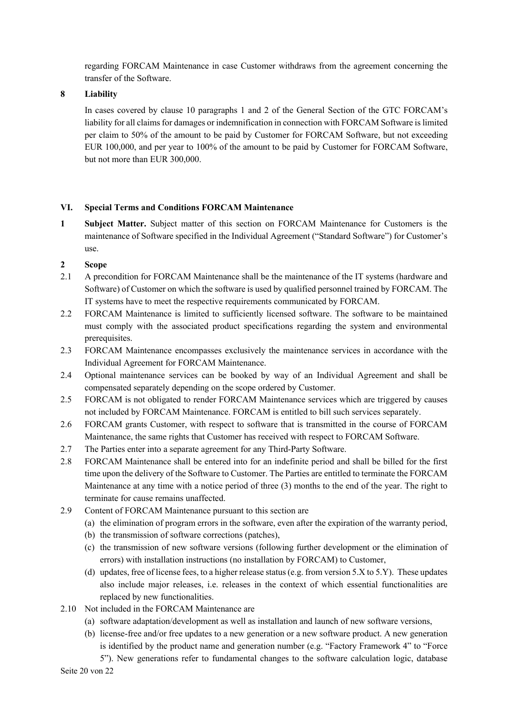regarding FORCAM Maintenance in case Customer withdraws from the agreement concerning the transfer of the Software.

# **8 Liability**

In cases covered by clause 10 paragraphs 1 and 2 of the General Section of the GTC FORCAM's liability for all claims for damages or indemnification in connection with FORCAM Software is limited per claim to 50% of the amount to be paid by Customer for FORCAM Software, but not exceeding EUR 100,000, and per year to 100% of the amount to be paid by Customer for FORCAM Software, but not more than EUR 300,000.

## **VI. Special Terms and Conditions FORCAM Maintenance**

**1 Subject Matter.** Subject matter of this section on FORCAM Maintenance for Customers is the maintenance of Software specified in the Individual Agreement ("Standard Software") for Customer's use.

## **2 Scope**

- 2.1 A precondition for FORCAM Maintenance shall be the maintenance of the IT systems (hardware and Software) of Customer on which the software is used by qualified personnel trained by FORCAM. The IT systems have to meet the respective requirements communicated by FORCAM.
- 2.2 FORCAM Maintenance is limited to sufficiently licensed software. The software to be maintained must comply with the associated product specifications regarding the system and environmental prerequisites.
- 2.3 FORCAM Maintenance encompasses exclusively the maintenance services in accordance with the Individual Agreement for FORCAM Maintenance.
- 2.4 Optional maintenance services can be booked by way of an Individual Agreement and shall be compensated separately depending on the scope ordered by Customer.
- 2.5 FORCAM is not obligated to render FORCAM Maintenance services which are triggered by causes not included by FORCAM Maintenance. FORCAM is entitled to bill such services separately.
- 2.6 FORCAM grants Customer, with respect to software that is transmitted in the course of FORCAM Maintenance, the same rights that Customer has received with respect to FORCAM Software.
- 2.7 The Parties enter into a separate agreement for any Third-Party Software.
- 2.8 FORCAM Maintenance shall be entered into for an indefinite period and shall be billed for the first time upon the delivery of the Software to Customer. The Parties are entitled to terminate the FORCAM Maintenance at any time with a notice period of three (3) months to the end of the year. The right to terminate for cause remains unaffected.
- 2.9 Content of FORCAM Maintenance pursuant to this section are
	- (a) the elimination of program errors in the software, even after the expiration of the warranty period,
	- (b) the transmission of software corrections (patches),
	- (c) the transmission of new software versions (following further development or the elimination of errors) with installation instructions (no installation by FORCAM) to Customer,
	- (d) updates, free of license fees, to a higher release status (e.g. from version 5.X to 5.Y). These updates also include major releases, i.e. releases in the context of which essential functionalities are replaced by new functionalities.
- 2.10 Not included in the FORCAM Maintenance are
	- (a) software adaptation/development as well as installation and launch of new software versions,
	- (b) license-free and/or free updates to a new generation or a new software product. A new generation is identified by the product name and generation number (e.g. "Factory Framework 4" to "Force

Seite 20 von 22 5"). New generations refer to fundamental changes to the software calculation logic, database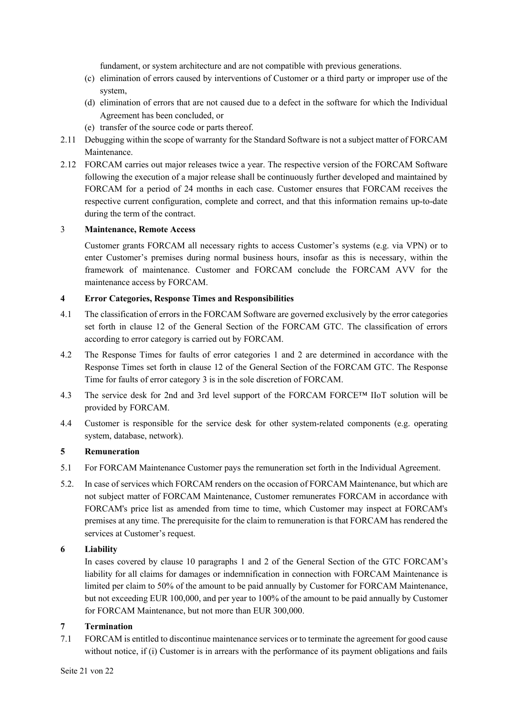fundament, or system architecture and are not compatible with previous generations.

- (c) elimination of errors caused by interventions of Customer or a third party or improper use of the system,
- (d) elimination of errors that are not caused due to a defect in the software for which the Individual Agreement has been concluded, or
- (e) transfer of the source code or parts thereof.
- 2.11 Debugging within the scope of warranty for the Standard Software is not a subject matter of FORCAM Maintenance.
- 2.12 FORCAM carries out major releases twice a year. The respective version of the FORCAM Software following the execution of a major release shall be continuously further developed and maintained by FORCAM for a period of 24 months in each case. Customer ensures that FORCAM receives the respective current configuration, complete and correct, and that this information remains up-to-date during the term of the contract.

## 3 **Maintenance, Remote Access**

Customer grants FORCAM all necessary rights to access Customer's systems (e.g. via VPN) or to enter Customer's premises during normal business hours, insofar as this is necessary, within the framework of maintenance. Customer and FORCAM conclude the FORCAM AVV for the maintenance access by FORCAM.

## **4 Error Categories, Response Times and Responsibilities**

- 4.1 The classification of errors in the FORCAM Software are governed exclusively by the error categories set forth in clause 12 of the General Section of the FORCAM GTC. The classification of errors according to error category is carried out by FORCAM.
- 4.2 The Response Times for faults of error categories 1 and 2 are determined in accordance with the Response Times set forth in clause 12 of the General Section of the FORCAM GTC. The Response Time for faults of error category 3 is in the sole discretion of FORCAM.
- 4.3 The service desk for 2nd and 3rd level support of the FORCAM FORCE™ IIoT solution will be provided by FORCAM.
- 4.4 Customer is responsible for the service desk for other system-related components (e.g. operating system, database, network).

# **5 Remuneration**

- 5.1 For FORCAM Maintenance Customer pays the remuneration set forth in the Individual Agreement.
- 5.2. In case of services which FORCAM renders on the occasion of FORCAM Maintenance, but which are not subject matter of FORCAM Maintenance, Customer remunerates FORCAM in accordance with FORCAM's price list as amended from time to time, which Customer may inspect at FORCAM's premises at any time. The prerequisite for the claim to remuneration is that FORCAM has rendered the services at Customer's request.

# **6 Liability**

In cases covered by clause 10 paragraphs 1 and 2 of the General Section of the GTC FORCAM's liability for all claims for damages or indemnification in connection with FORCAM Maintenance is limited per claim to 50% of the amount to be paid annually by Customer for FORCAM Maintenance, but not exceeding EUR 100,000, and per year to 100% of the amount to be paid annually by Customer for FORCAM Maintenance, but not more than EUR 300,000.

# **7 Termination**

7.1 FORCAM is entitled to discontinue maintenance services or to terminate the agreement for good cause without notice, if (i) Customer is in arrears with the performance of its payment obligations and fails